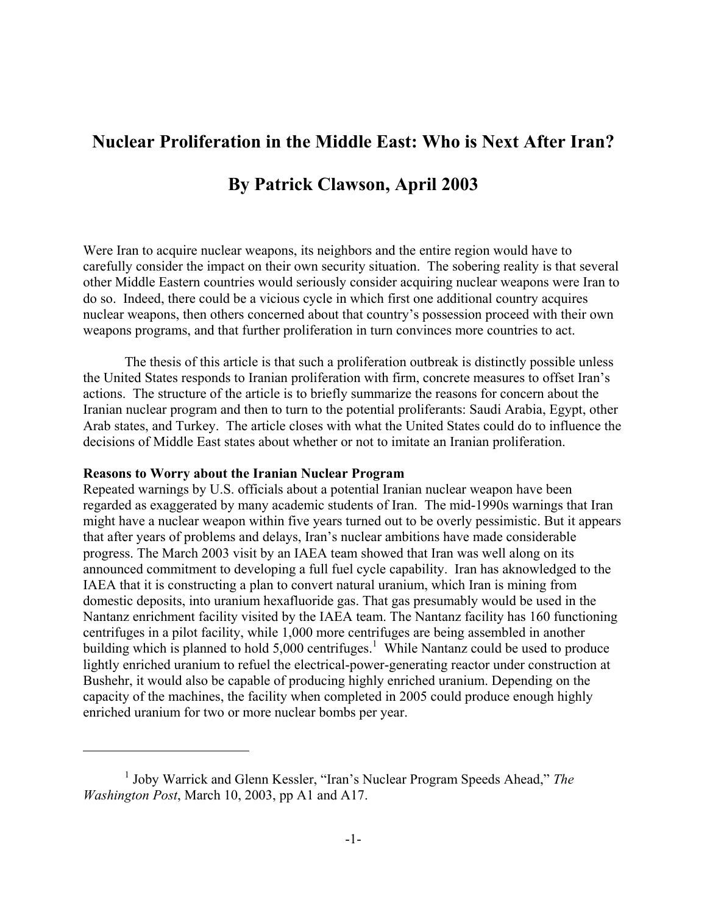# **Nuclear Proliferation in the Middle East: Who is Next After Iran?**

# **By Patrick Clawson, April 2003**

Were Iran to acquire nuclear weapons, its neighbors and the entire region would have to carefully consider the impact on their own security situation. The sobering reality is that several other Middle Eastern countries would seriously consider acquiring nuclear weapons were Iran to do so. Indeed, there could be a vicious cycle in which first one additional country acquires nuclear weapons, then others concerned about that country's possession proceed with their own weapons programs, and that further proliferation in turn convinces more countries to act.

 The thesis of this article is that such a proliferation outbreak is distinctly possible unless the United States responds to Iranian proliferation with firm, concrete measures to offset Iran's actions. The structure of the article is to briefly summarize the reasons for concern about the Iranian nuclear program and then to turn to the potential proliferants: Saudi Arabia, Egypt, other Arab states, and Turkey. The article closes with what the United States could do to influence the decisions of Middle East states about whether or not to imitate an Iranian proliferation.

## **Reasons to Worry about the Iranian Nuclear Program**

 $\overline{a}$ 

Repeated warnings by U.S. officials about a potential Iranian nuclear weapon have been regarded as exaggerated by many academic students of Iran. The mid-1990s warnings that Iran might have a nuclear weapon within five years turned out to be overly pessimistic. But it appears that after years of problems and delays, Iran's nuclear ambitions have made considerable progress. The March 2003 visit by an IAEA team showed that Iran was well along on its announced commitment to developing a full fuel cycle capability. Iran has aknowledged to the IAEA that it is constructing a plan to convert natural uranium, which Iran is mining from domestic deposits, into uranium hexafluoride gas. That gas presumably would be used in the Nantanz enrichment facility visited by the IAEA team. The Nantanz facility has 160 functioning centrifuges in a pilot facility, while 1,000 more centrifuges are being assembled in another building which is planned to hold  $5,000$  centrifuges.<sup>[1](#page-0-0)</sup> While Nantanz could be used to produce lightly enriched uranium to refuel the electrical-power-generating reactor under construction at Bushehr, it would also be capable of producing highly enriched uranium. Depending on the capacity of the machines, the facility when completed in 2005 could produce enough highly enriched uranium for two or more nuclear bombs per year.

<span id="page-0-0"></span><sup>&</sup>lt;sup>1</sup> Joby Warrick and Glenn Kessler, "Iran's Nuclear Program Speeds Ahead," The *Washington Post*, March 10, 2003, pp A1 and A17.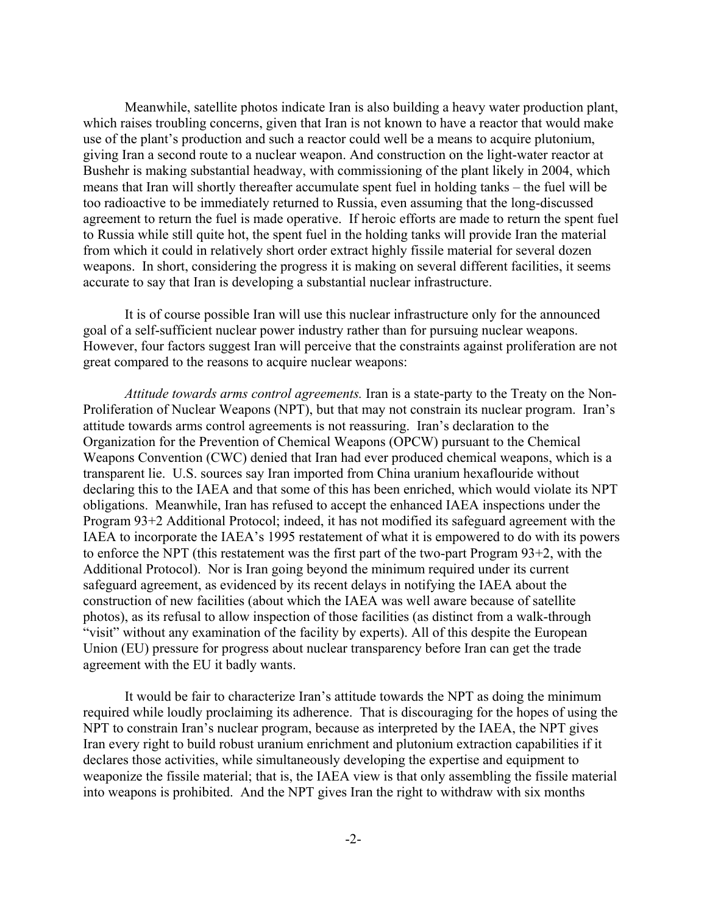Meanwhile, satellite photos indicate Iran is also building a heavy water production plant, which raises troubling concerns, given that Iran is not known to have a reactor that would make use of the plant's production and such a reactor could well be a means to acquire plutonium, giving Iran a second route to a nuclear weapon. And construction on the light-water reactor at Bushehr is making substantial headway, with commissioning of the plant likely in 2004, which means that Iran will shortly thereafter accumulate spent fuel in holding tanks – the fuel will be too radioactive to be immediately returned to Russia, even assuming that the long-discussed agreement to return the fuel is made operative. If heroic efforts are made to return the spent fuel to Russia while still quite hot, the spent fuel in the holding tanks will provide Iran the material from which it could in relatively short order extract highly fissile material for several dozen weapons. In short, considering the progress it is making on several different facilities, it seems accurate to say that Iran is developing a substantial nuclear infrastructure.

 It is of course possible Iran will use this nuclear infrastructure only for the announced goal of a self-sufficient nuclear power industry rather than for pursuing nuclear weapons. However, four factors suggest Iran will perceive that the constraints against proliferation are not great compared to the reasons to acquire nuclear weapons:

*Attitude towards arms control agreements.* Iran is a state-party to the Treaty on the Non-Proliferation of Nuclear Weapons (NPT), but that may not constrain its nuclear program. Iran's attitude towards arms control agreements is not reassuring. Iran's declaration to the Organization for the Prevention of Chemical Weapons (OPCW) pursuant to the Chemical Weapons Convention (CWC) denied that Iran had ever produced chemical weapons, which is a transparent lie. U.S. sources say Iran imported from China uranium hexaflouride without declaring this to the IAEA and that some of this has been enriched, which would violate its NPT obligations. Meanwhile, Iran has refused to accept the enhanced IAEA inspections under the Program 93+2 Additional Protocol; indeed, it has not modified its safeguard agreement with the IAEA to incorporate the IAEA's 1995 restatement of what it is empowered to do with its powers to enforce the NPT (this restatement was the first part of the two-part Program 93+2, with the Additional Protocol). Nor is Iran going beyond the minimum required under its current safeguard agreement, as evidenced by its recent delays in notifying the IAEA about the construction of new facilities (about which the IAEA was well aware because of satellite photos), as its refusal to allow inspection of those facilities (as distinct from a walk-through "visit" without any examination of the facility by experts). All of this despite the European Union (EU) pressure for progress about nuclear transparency before Iran can get the trade agreement with the EU it badly wants.

 It would be fair to characterize Iran's attitude towards the NPT as doing the minimum required while loudly proclaiming its adherence. That is discouraging for the hopes of using the NPT to constrain Iran's nuclear program, because as interpreted by the IAEA, the NPT gives Iran every right to build robust uranium enrichment and plutonium extraction capabilities if it declares those activities, while simultaneously developing the expertise and equipment to weaponize the fissile material; that is, the IAEA view is that only assembling the fissile material into weapons is prohibited. And the NPT gives Iran the right to withdraw with six months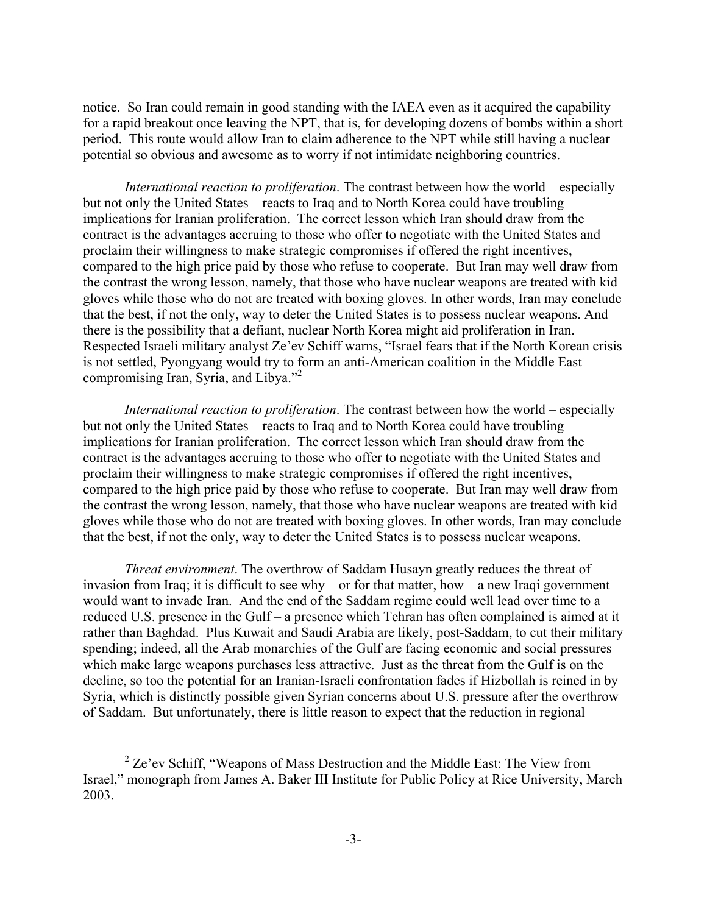notice. So Iran could remain in good standing with the IAEA even as it acquired the capability for a rapid breakout once leaving the NPT, that is, for developing dozens of bombs within a short period. This route would allow Iran to claim adherence to the NPT while still having a nuclear potential so obvious and awesome as to worry if not intimidate neighboring countries.

*International reaction to proliferation*. The contrast between how the world – especially but not only the United States – reacts to Iraq and to North Korea could have troubling implications for Iranian proliferation. The correct lesson which Iran should draw from the contract is the advantages accruing to those who offer to negotiate with the United States and proclaim their willingness to make strategic compromises if offered the right incentives, compared to the high price paid by those who refuse to cooperate. But Iran may well draw from the contrast the wrong lesson, namely, that those who have nuclear weapons are treated with kid gloves while those who do not are treated with boxing gloves. In other words, Iran may conclude that the best, if not the only, way to deter the United States is to possess nuclear weapons. And there is the possibility that a defiant, nuclear North Korea might aid proliferation in Iran. Respected Israeli military analyst Ze'ev Schiff warns, "Israel fears that if the North Korean crisis is not settled, Pyongyang would try to form an anti-American coalition in the Middle East compromising Iran, Syria, and Libya."[2](#page-2-0)

*International reaction to proliferation*. The contrast between how the world – especially but not only the United States – reacts to Iraq and to North Korea could have troubling implications for Iranian proliferation. The correct lesson which Iran should draw from the contract is the advantages accruing to those who offer to negotiate with the United States and proclaim their willingness to make strategic compromises if offered the right incentives, compared to the high price paid by those who refuse to cooperate. But Iran may well draw from the contrast the wrong lesson, namely, that those who have nuclear weapons are treated with kid gloves while those who do not are treated with boxing gloves. In other words, Iran may conclude that the best, if not the only, way to deter the United States is to possess nuclear weapons.

*Threat environment*. The overthrow of Saddam Husayn greatly reduces the threat of invasion from Iraq; it is difficult to see why – or for that matter, how – a new Iraqi government would want to invade Iran. And the end of the Saddam regime could well lead over time to a reduced U.S. presence in the Gulf – a presence which Tehran has often complained is aimed at it rather than Baghdad. Plus Kuwait and Saudi Arabia are likely, post-Saddam, to cut their military spending; indeed, all the Arab monarchies of the Gulf are facing economic and social pressures which make large weapons purchases less attractive. Just as the threat from the Gulf is on the decline, so too the potential for an Iranian-Israeli confrontation fades if Hizbollah is reined in by Syria, which is distinctly possible given Syrian concerns about U.S. pressure after the overthrow of Saddam. But unfortunately, there is little reason to expect that the reduction in regional

 $\overline{a}$ 

<span id="page-2-0"></span> $2$  Ze'ev Schiff, "Weapons of Mass Destruction and the Middle East: The View from Israel," monograph from James A. Baker III Institute for Public Policy at Rice University, March 2003.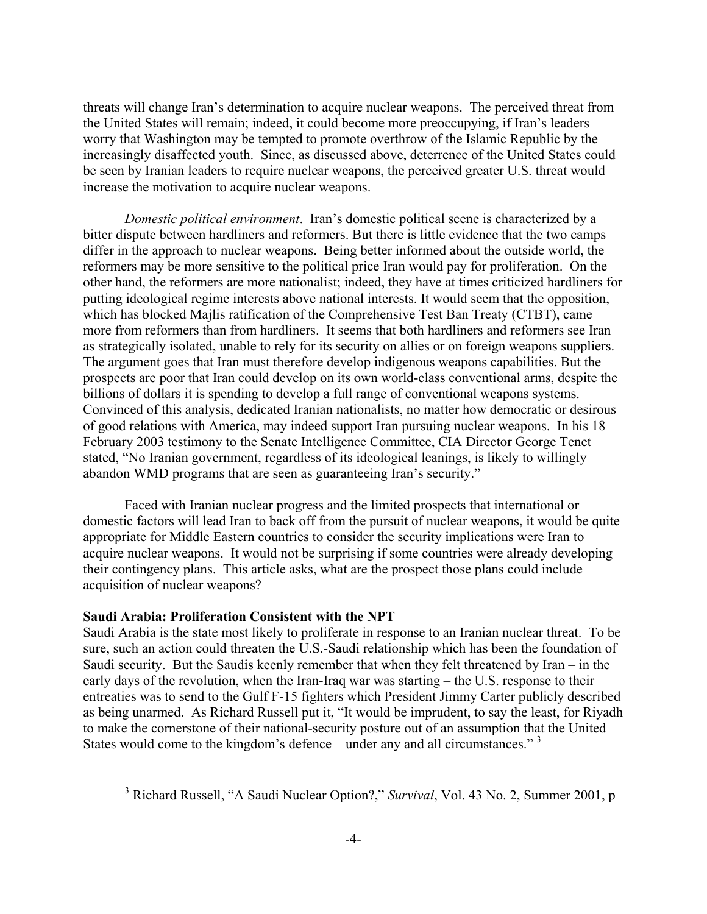<span id="page-3-0"></span>threats will change Iran's determination to acquire nuclear weapons. The perceived threat from the United States will remain; indeed, it could become more preoccupying, if Iran's leaders worry that Washington may be tempted to promote overthrow of the Islamic Republic by the increasingly disaffected youth. Since, as discussed above, deterrence of the United States could be seen by Iranian leaders to require nuclear weapons, the perceived greater U.S. threat would increase the motivation to acquire nuclear weapons.

*Domestic political environment*. Iran's domestic political scene is characterized by a bitter dispute between hardliners and reformers. But there is little evidence that the two camps differ in the approach to nuclear weapons. Being better informed about the outside world, the reformers may be more sensitive to the political price Iran would pay for proliferation. On the other hand, the reformers are more nationalist; indeed, they have at times criticized hardliners for putting ideological regime interests above national interests. It would seem that the opposition, which has blocked Majlis ratification of the Comprehensive Test Ban Treaty (CTBT), came more from reformers than from hardliners. It seems that both hardliners and reformers see Iran as strategically isolated, unable to rely for its security on allies or on foreign weapons suppliers. The argument goes that Iran must therefore develop indigenous weapons capabilities. But the prospects are poor that Iran could develop on its own world-class conventional arms, despite the billions of dollars it is spending to develop a full range of conventional weapons systems. Convinced of this analysis, dedicated Iranian nationalists, no matter how democratic or desirous of good relations with America, may indeed support Iran pursuing nuclear weapons. In his 18 February 2003 testimony to the Senate Intelligence Committee, CIA Director George Tenet stated, "No Iranian government, regardless of its ideological leanings, is likely to willingly abandon WMD programs that are seen as guaranteeing Iran's security."

 Faced with Iranian nuclear progress and the limited prospects that international or domestic factors will lead Iran to back off from the pursuit of nuclear weapons, it would be quite appropriate for Middle Eastern countries to consider the security implications were Iran to acquire nuclear weapons. It would not be surprising if some countries were already developing their contingency plans. This article asks, what are the prospect those plans could include acquisition of nuclear weapons?

# **Saudi Arabia: Proliferation Consistent with the NPT**

 $\overline{a}$ 

Saudi Arabia is the state most likely to proliferate in response to an Iranian nuclear threat. To be sure, such an action could threaten the U.S.-Saudi relationship which has been the foundation of Saudi security. But the Saudis keenly remember that when they felt threatened by Iran – in the early days of the revolution, when the Iran-Iraq war was starting – the U.S. response to their entreaties was to send to the Gulf F-15 fighters which President Jimmy Carter publicly described as being unarmed. As Richard Russell put it, "It would be imprudent, to say the least, for Riyadh to make the cornerstone of their national-security posture out of an assumption that the United States would come to the kingdom's defence – under any and all circumstances." $3$ 

<sup>3</sup> Richard Russell, "A Saudi Nuclear Option?," *Survival*, Vol. 43 No. 2, Summer 2001, p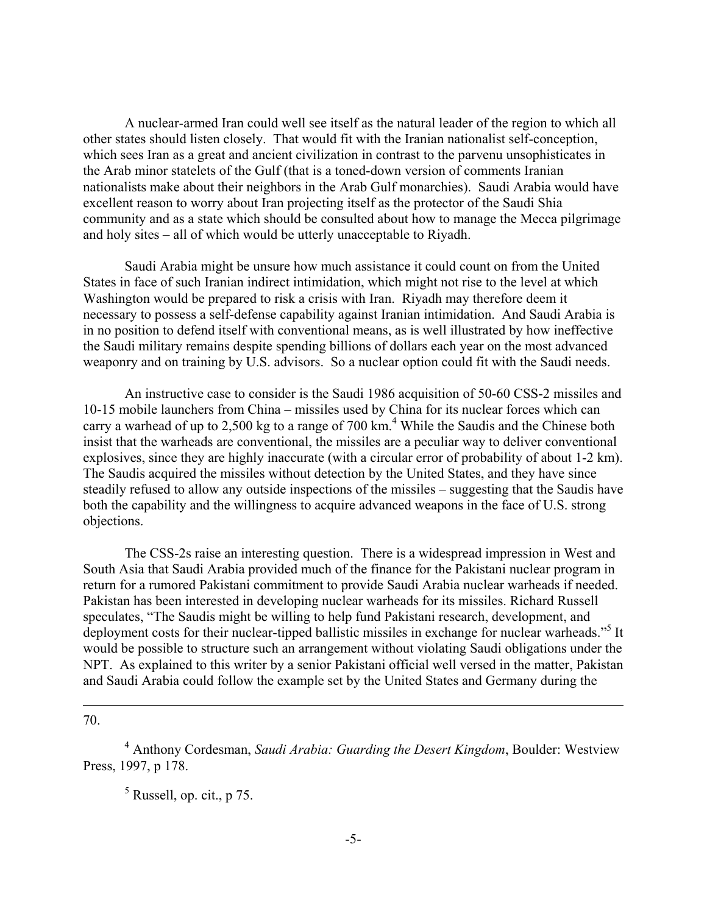A nuclear-armed Iran could well see itself as the natural leader of the region to which all other states should listen closely. That would fit with the Iranian nationalist self-conception, which sees Iran as a great and ancient civilization in contrast to the parvenu unsophisticates in the Arab minor statelets of the Gulf (that is a toned-down version of comments Iranian nationalists make about their neighbors in the Arab Gulf monarchies). Saudi Arabia would have excellent reason to worry about Iran projecting itself as the protector of the Saudi Shia community and as a state which should be consulted about how to manage the Mecca pilgrimage and holy sites – all of which would be utterly unacceptable to Riyadh.

 Saudi Arabia might be unsure how much assistance it could count on from the United States in face of such Iranian indirect intimidation, which might not rise to the level at which Washington would be prepared to risk a crisis with Iran. Riyadh may therefore deem it necessary to possess a self-defense capability against Iranian intimidation. And Saudi Arabia is in no position to defend itself with conventional means, as is well illustrated by how ineffective the Saudi military remains despite spending billions of dollars each year on the most advanced weaponry and on training by U.S. advisors. So a nuclear option could fit with the Saudi needs.

 An instructive case to consider is the Saudi 1986 acquisition of 50-60 CSS-2 missiles and 10-15 mobile launchers from China – missiles used by China for its nuclear forces which can carry a warhead of up to 2,500 kg to a range of 700 km.<sup>[4](#page-4-0)</sup> While the Saudis and the Chinese both insist that the warheads are conventional, the missiles are a peculiar way to deliver conventional explosives, since they are highly inaccurate (with a circular error of probability of about 1-2 km). The Saudis acquired the missiles without detection by the United States, and they have since steadily refused to allow any outside inspections of the missiles – suggesting that the Saudis have both the capability and the willingness to acquire advanced weapons in the face of U.S. strong objections.

 The CSS-2s raise an interesting question. There is a widespread impression in West and South Asia that Saudi Arabia provided much of the finance for the Pakistani nuclear program in return for a rumored Pakistani commitment to provide Saudi Arabia nuclear warheads if needed. Pakistan has been interested in developing nuclear warheads for its missiles. Richard Russell speculates, "The Saudis might be willing to help fund Pakistani research, development, and deployment costs for their nuclear-tipped ballistic missiles in exchange for nuclear warheads."<sup>5</sup> It would be possible to structure such an arrangement without violating Saudi obligations under the NPT. As explained to this writer by a senior Pakistani official well versed in the matter, Pakistan and Saudi Arabia could follow the example set by the United States and Germany during the

 $\overline{a}$ 70.

<span id="page-4-0"></span>4 Anthony Cordesman, *Saudi Arabia: Guarding the Desert Kingdom*, Boulder: Westview Press, 1997, p 178.

<span id="page-4-1"></span> $<sup>5</sup>$  Russell, op. cit., p 75.</sup>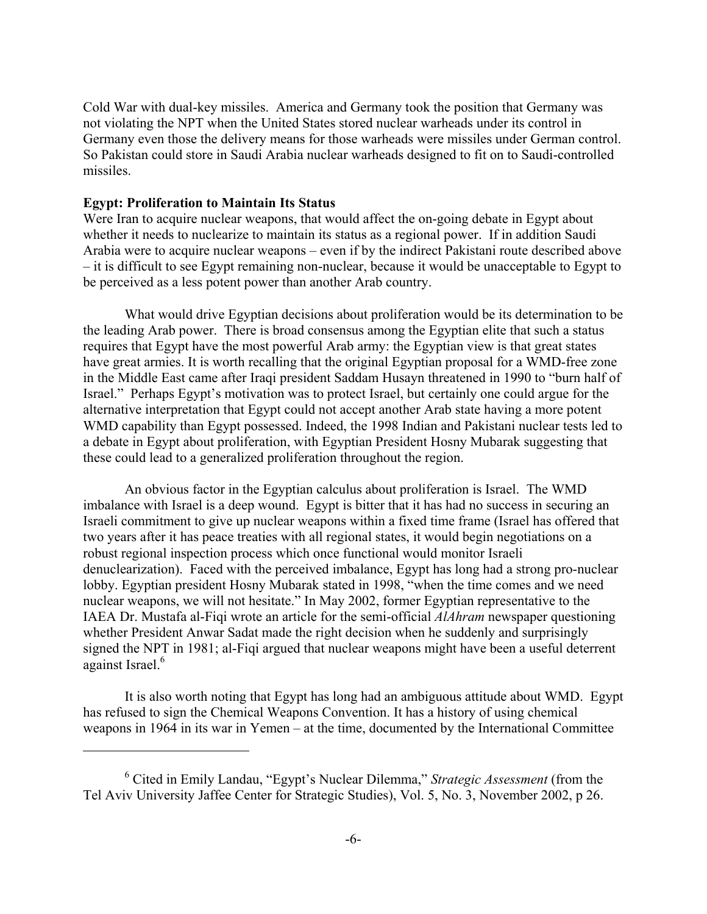Cold War with dual-key missiles. America and Germany took the position that Germany was not violating the NPT when the United States stored nuclear warheads under its control in Germany even those the delivery means for those warheads were missiles under German control. So Pakistan could store in Saudi Arabia nuclear warheads designed to fit on to Saudi-controlled missiles.

# **Egypt: Proliferation to Maintain Its Status**

 $\overline{a}$ 

Were Iran to acquire nuclear weapons, that would affect the on-going debate in Egypt about whether it needs to nuclearize to maintain its status as a regional power. If in addition Saudi Arabia were to acquire nuclear weapons – even if by the indirect Pakistani route described above – it is difficult to see Egypt remaining non-nuclear, because it would be unacceptable to Egypt to be perceived as a less potent power than another Arab country.

 What would drive Egyptian decisions about proliferation would be its determination to be the leading Arab power. There is broad consensus among the Egyptian elite that such a status requires that Egypt have the most powerful Arab army: the Egyptian view is that great states have great armies. It is worth recalling that the original Egyptian proposal for a WMD-free zone in the Middle East came after Iraqi president Saddam Husayn threatened in 1990 to "burn half of Israel." Perhaps Egypt's motivation was to protect Israel, but certainly one could argue for the alternative interpretation that Egypt could not accept another Arab state having a more potent WMD capability than Egypt possessed. Indeed, the 1998 Indian and Pakistani nuclear tests led to a debate in Egypt about proliferation, with Egyptian President Hosny Mubarak suggesting that these could lead to a generalized proliferation throughout the region.

 An obvious factor in the Egyptian calculus about proliferation is Israel. The WMD imbalance with Israel is a deep wound. Egypt is bitter that it has had no success in securing an Israeli commitment to give up nuclear weapons within a fixed time frame (Israel has offered that two years after it has peace treaties with all regional states, it would begin negotiations on a robust regional inspection process which once functional would monitor Israeli denuclearization). Faced with the perceived imbalance, Egypt has long had a strong pro-nuclear lobby. Egyptian president Hosny Mubarak stated in 1998, "when the time comes and we need nuclear weapons, we will not hesitate." In May 2002, former Egyptian representative to the IAEA Dr. Mustafa al-Fiqi wrote an article for the semi-official *AlAhram* newspaper questioning whether President Anwar Sadat made the right decision when he suddenly and surprisingly signed the NPT in 1981; al-Fiqi argued that nuclear weapons might have been a useful deterrent against Israel.<sup>[6](#page-5-0)</sup>

 It is also worth noting that Egypt has long had an ambiguous attitude about WMD. Egypt has refused to sign the Chemical Weapons Convention. It has a history of using chemical weapons in 1964 in its war in Yemen – at the time, documented by the International Committee

<span id="page-5-0"></span><sup>6</sup> Cited in Emily Landau, "Egypt's Nuclear Dilemma," *Strategic Assessment* (from the Tel Aviv University Jaffee Center for Strategic Studies), Vol. 5, No. 3, November 2002, p 26.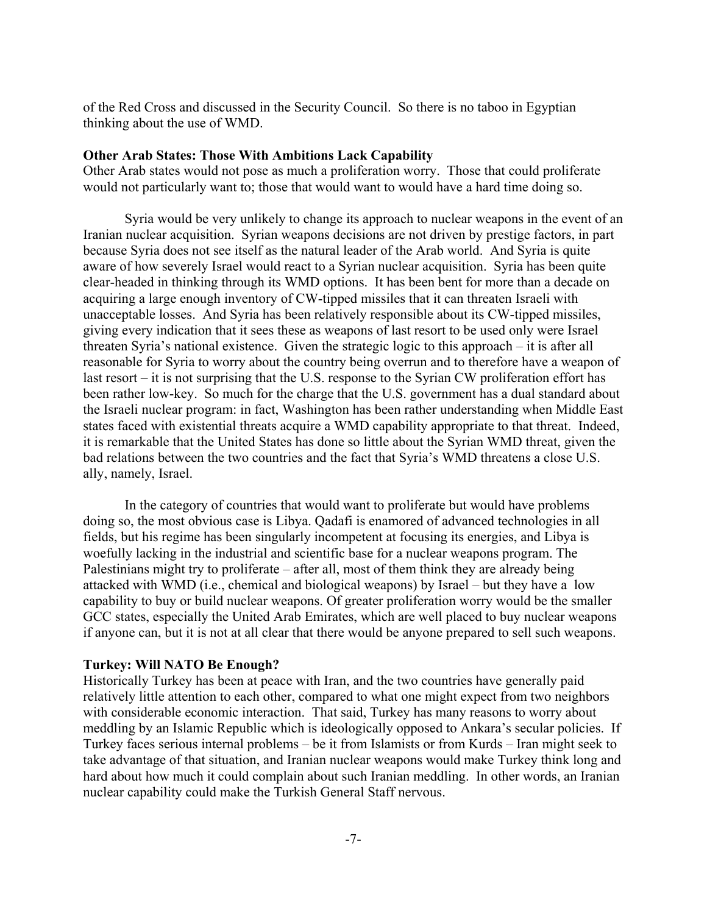of the Red Cross and discussed in the Security Council. So there is no taboo in Egyptian thinking about the use of WMD.

## **Other Arab States: Those With Ambitions Lack Capability**

Other Arab states would not pose as much a proliferation worry. Those that could proliferate would not particularly want to; those that would want to would have a hard time doing so.

 Syria would be very unlikely to change its approach to nuclear weapons in the event of an Iranian nuclear acquisition. Syrian weapons decisions are not driven by prestige factors, in part because Syria does not see itself as the natural leader of the Arab world. And Syria is quite aware of how severely Israel would react to a Syrian nuclear acquisition. Syria has been quite clear-headed in thinking through its WMD options. It has been bent for more than a decade on acquiring a large enough inventory of CW-tipped missiles that it can threaten Israeli with unacceptable losses. And Syria has been relatively responsible about its CW-tipped missiles, giving every indication that it sees these as weapons of last resort to be used only were Israel threaten Syria's national existence. Given the strategic logic to this approach – it is after all reasonable for Syria to worry about the country being overrun and to therefore have a weapon of last resort – it is not surprising that the U.S. response to the Syrian CW proliferation effort has been rather low-key. So much for the charge that the U.S. government has a dual standard about the Israeli nuclear program: in fact, Washington has been rather understanding when Middle East states faced with existential threats acquire a WMD capability appropriate to that threat. Indeed, it is remarkable that the United States has done so little about the Syrian WMD threat, given the bad relations between the two countries and the fact that Syria's WMD threatens a close U.S. ally, namely, Israel.

 In the category of countries that would want to proliferate but would have problems doing so, the most obvious case is Libya. Qadafi is enamored of advanced technologies in all fields, but his regime has been singularly incompetent at focusing its energies, and Libya is woefully lacking in the industrial and scientific base for a nuclear weapons program. The Palestinians might try to proliferate – after all, most of them think they are already being attacked with WMD (i.e., chemical and biological weapons) by Israel – but they have a low capability to buy or build nuclear weapons. Of greater proliferation worry would be the smaller GCC states, especially the United Arab Emirates, which are well placed to buy nuclear weapons if anyone can, but it is not at all clear that there would be anyone prepared to sell such weapons.

#### **Turkey: Will NATO Be Enough?**

Historically Turkey has been at peace with Iran, and the two countries have generally paid relatively little attention to each other, compared to what one might expect from two neighbors with considerable economic interaction. That said, Turkey has many reasons to worry about meddling by an Islamic Republic which is ideologically opposed to Ankara's secular policies. If Turkey faces serious internal problems – be it from Islamists or from Kurds – Iran might seek to take advantage of that situation, and Iranian nuclear weapons would make Turkey think long and hard about how much it could complain about such Iranian meddling. In other words, an Iranian nuclear capability could make the Turkish General Staff nervous.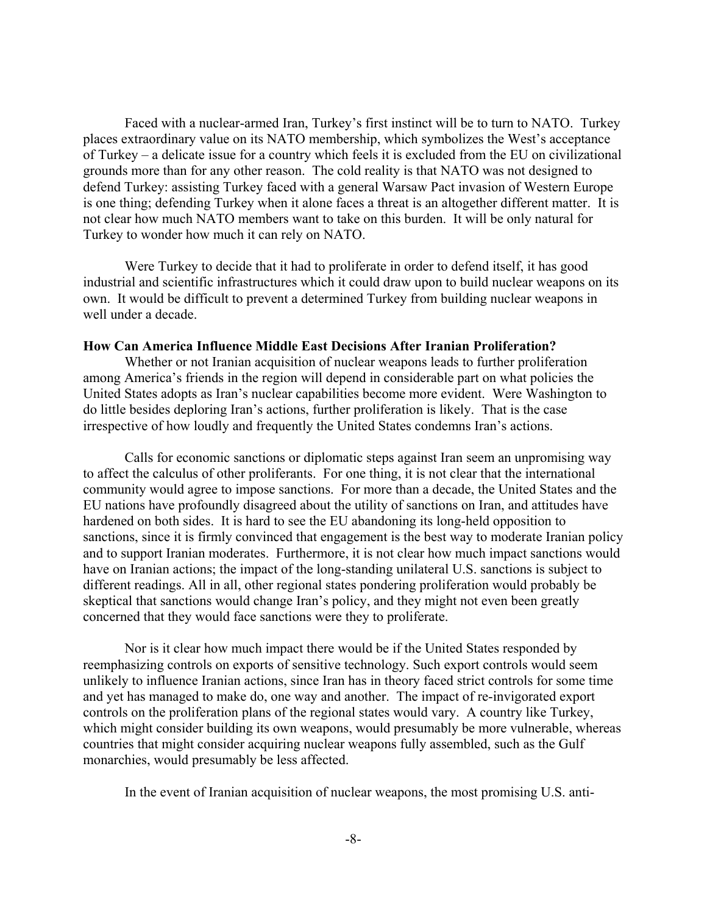Faced with a nuclear-armed Iran, Turkey's first instinct will be to turn to NATO. Turkey places extraordinary value on its NATO membership, which symbolizes the West's acceptance of Turkey – a delicate issue for a country which feels it is excluded from the EU on civilizational grounds more than for any other reason. The cold reality is that NATO was not designed to defend Turkey: assisting Turkey faced with a general Warsaw Pact invasion of Western Europe is one thing; defending Turkey when it alone faces a threat is an altogether different matter. It is not clear how much NATO members want to take on this burden. It will be only natural for Turkey to wonder how much it can rely on NATO.

 Were Turkey to decide that it had to proliferate in order to defend itself, it has good industrial and scientific infrastructures which it could draw upon to build nuclear weapons on its own. It would be difficult to prevent a determined Turkey from building nuclear weapons in well under a decade.

#### **How Can America Influence Middle East Decisions After Iranian Proliferation?**

 Whether or not Iranian acquisition of nuclear weapons leads to further proliferation among America's friends in the region will depend in considerable part on what policies the United States adopts as Iran's nuclear capabilities become more evident. Were Washington to do little besides deploring Iran's actions, further proliferation is likely. That is the case irrespective of how loudly and frequently the United States condemns Iran's actions.

 Calls for economic sanctions or diplomatic steps against Iran seem an unpromising way to affect the calculus of other proliferants. For one thing, it is not clear that the international community would agree to impose sanctions. For more than a decade, the United States and the EU nations have profoundly disagreed about the utility of sanctions on Iran, and attitudes have hardened on both sides. It is hard to see the EU abandoning its long-held opposition to sanctions, since it is firmly convinced that engagement is the best way to moderate Iranian policy and to support Iranian moderates. Furthermore, it is not clear how much impact sanctions would have on Iranian actions; the impact of the long-standing unilateral U.S. sanctions is subject to different readings. All in all, other regional states pondering proliferation would probably be skeptical that sanctions would change Iran's policy, and they might not even been greatly concerned that they would face sanctions were they to proliferate.

 Nor is it clear how much impact there would be if the United States responded by reemphasizing controls on exports of sensitive technology. Such export controls would seem unlikely to influence Iranian actions, since Iran has in theory faced strict controls for some time and yet has managed to make do, one way and another. The impact of re-invigorated export controls on the proliferation plans of the regional states would vary. A country like Turkey, which might consider building its own weapons, would presumably be more vulnerable, whereas countries that might consider acquiring nuclear weapons fully assembled, such as the Gulf monarchies, would presumably be less affected.

In the event of Iranian acquisition of nuclear weapons, the most promising U.S. anti-